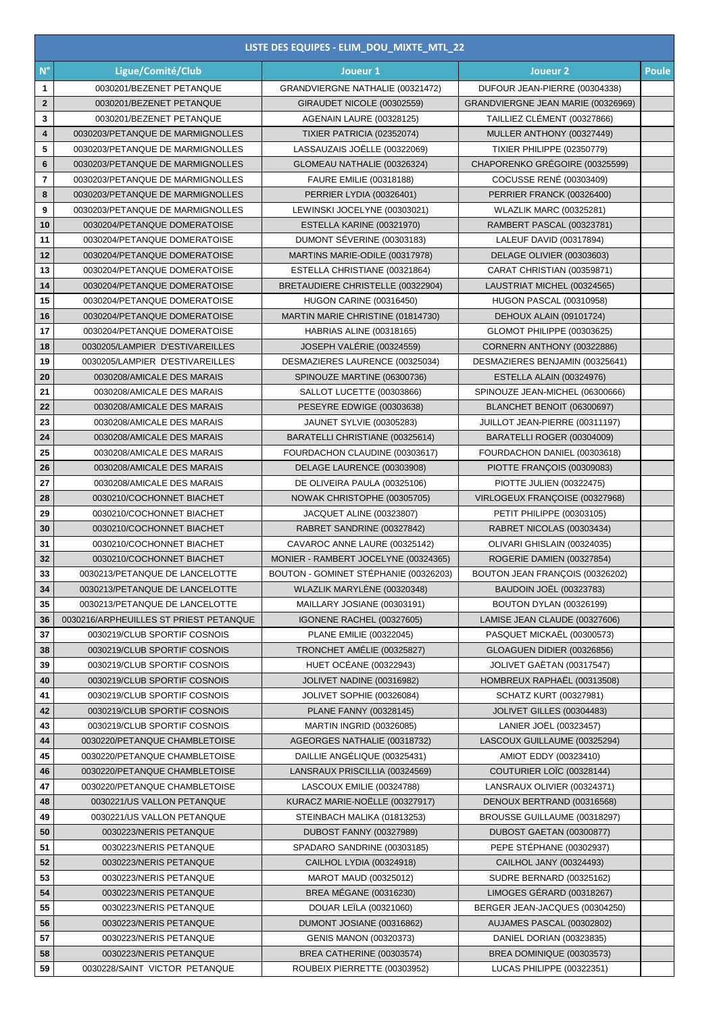|                | LISTE DES EQUIPES - ELIM_DOU_MIXTE_MTL_22 |                                       |                                    |              |  |  |  |
|----------------|-------------------------------------------|---------------------------------------|------------------------------------|--------------|--|--|--|
| $N^{\circ}$    | Ligue/Comité/Club                         | Joueur 1                              | Joueur <sub>2</sub>                | <b>Poule</b> |  |  |  |
| $\mathbf{1}$   | 0030201/BEZENET PETANQUE                  | GRANDVIERGNE NATHALIE (00321472)      | DUFOUR JEAN-PIERRE (00304338)      |              |  |  |  |
| $\overline{2}$ | 0030201/BEZENET PETANQUE                  | GIRAUDET NICOLE (00302559)            | GRANDVIERGNE JEAN MARIE (00326969) |              |  |  |  |
| 3              | 0030201/BEZENET PETANQUE                  | AGENAIN LAURE (00328125)              | TAILLIEZ CLÉMENT (00327866)        |              |  |  |  |
| 4              | 0030203/PETANQUE DE MARMIGNOLLES          | TIXIER PATRICIA (02352074)            | MULLER ANTHONY (00327449)          |              |  |  |  |
| 5              | 0030203/PETANQUE DE MARMIGNOLLES          | LASSAUZAIS JOËLLE (00322069)          | <b>TIXIER PHILIPPE (02350779)</b>  |              |  |  |  |
| 6              | 0030203/PETANQUE DE MARMIGNOLLES          | GLOMEAU NATHALIE (00326324)           | CHAPORENKO GRÉGOIRE (00325599)     |              |  |  |  |
| 7              | 0030203/PETANQUE DE MARMIGNOLLES          | FAURE EMILIE (00318188)               | COCUSSE RENÉ (00303409)            |              |  |  |  |
| 8              | 0030203/PETANQUE DE MARMIGNOLLES          | PERRIER LYDIA (00326401)              | PERRIER FRANCK (00326400)          |              |  |  |  |
| 9              | 0030203/PETANQUE DE MARMIGNOLLES          | LEWINSKI JOCELYNE (00303021)          | <b>WLAZLIK MARC (00325281)</b>     |              |  |  |  |
| 10             | 0030204/PETANQUE DOMERATOISE              | ESTELLA KARINE (00321970)             | RAMBERT PASCAL (00323781)          |              |  |  |  |
| 11             | 0030204/PETANQUE DOMERATOISE              | DUMONT SÉVERINE (00303183)            | LALEUF DAVID (00317894)            |              |  |  |  |
| 12             | 0030204/PETANQUE DOMERATOISE              | MARTINS MARIE-ODILE (00317978)        | DELAGE OLIVIER (00303603)          |              |  |  |  |
| 13             | 0030204/PETANQUE DOMERATOISE              | ESTELLA CHRISTIANE (00321864)         | CARAT CHRISTIAN (00359871)         |              |  |  |  |
| 14             | 0030204/PETANQUE DOMERATOISE              | BRETAUDIERE CHRISTELLE (00322904)     | LAUSTRIAT MICHEL (00324565)        |              |  |  |  |
| 15             | 0030204/PETANQUE DOMERATOISE              | <b>HUGON CARINE (00316450)</b>        | <b>HUGON PASCAL (00310958)</b>     |              |  |  |  |
| 16             | 0030204/PETANQUE DOMERATOISE              | MARTIN MARIE CHRISTINE (01814730)     | DEHOUX ALAIN (09101724)            |              |  |  |  |
| 17             | 0030204/PETANQUE DOMERATOISE              | <b>HABRIAS ALINE (00318165)</b>       | GLOMOT PHILIPPE (00303625)         |              |  |  |  |
| 18             | 0030205/LAMPIER D'ESTIVAREILLES           | JOSEPH VALÉRIE (00324559)             | CORNERN ANTHONY (00322886)         |              |  |  |  |
| 19             | 0030205/LAMPIER D'ESTIVAREILLES           | DESMAZIERES LAURENCE (00325034)       | DESMAZIERES BENJAMIN (00325641)    |              |  |  |  |
| 20             | 0030208/AMICALE DES MARAIS                | SPINOUZE MARTINE (06300736)           | ESTELLA ALAIN (00324976)           |              |  |  |  |
| 21             | 0030208/AMICALE DES MARAIS                | SALLOT LUCETTE (00303866)             | SPINOUZE JEAN-MICHEL (06300666)    |              |  |  |  |
| 22             | 0030208/AMICALE DES MARAIS                | PESEYRE EDWIGE (00303638)             | BLANCHET BENOIT (06300697)         |              |  |  |  |
| 23             | 0030208/AMICALE DES MARAIS                | <b>JAUNET SYLVIE (00305283)</b>       | JUILLOT JEAN-PIERRE (00311197)     |              |  |  |  |
| 24             | 0030208/AMICALE DES MARAIS                | BARATELLI CHRISTIANE (00325614)       | BARATELLI ROGER (00304009)         |              |  |  |  |
| 25             | 0030208/AMICALE DES MARAIS                | FOURDACHON CLAUDINE (00303617)        | FOURDACHON DANIEL (00303618)       |              |  |  |  |
| 26             | 0030208/AMICALE DES MARAIS                | DELAGE LAURENCE (00303908)            | PIOTTE FRANÇOIS (00309083)         |              |  |  |  |
| 27             | 0030208/AMICALE DES MARAIS                | DE OLIVEIRA PAULA (00325106)          | PIOTTE JULIEN (00322475)           |              |  |  |  |
| 28             | 0030210/COCHONNET BIACHET                 | NOWAK CHRISTOPHE (00305705)           | VIRLOGEUX FRANÇOISE (00327968)     |              |  |  |  |
| 29             | 0030210/COCHONNET BIACHET                 | JACQUET ALINE (00323807)              | PETIT PHILIPPE (00303105)          |              |  |  |  |
| 30             | 0030210/COCHONNET BIACHET                 | RABRET SANDRINE (00327842)            | RABRET NICOLAS (00303434)          |              |  |  |  |
| 31             | 0030210/COCHONNET BIACHET                 | CAVAROC ANNE LAURE (00325142)         | OLIVARI GHISLAIN (00324035)        |              |  |  |  |
| 32             | 0030210/COCHONNET BIACHET                 | MONIER - RAMBERT JOCELYNE (00324365)  | ROGERIE DAMIEN (00327854)          |              |  |  |  |
| 33             | 0030213/PETANQUE DE LANCELOTTE            | BOUTON - GOMINET STÉPHANIE (00326203) | BOUTON JEAN FRANÇOIS (00326202)    |              |  |  |  |
| 34             | 0030213/PETANQUE DE LANCELOTTE            | WLAZLIK MARYLÈNE (00320348)           | <b>BAUDOIN JOËL (00323783)</b>     |              |  |  |  |
| 35             | 0030213/PETANQUE DE LANCELOTTE            | MAILLARY JOSIANE (00303191)           | <b>BOUTON DYLAN (00326199)</b>     |              |  |  |  |
| 36             | 0030216/ARPHEUILLES ST PRIEST PETANQUE    | IGONENE RACHEL (00327605)             | LAMISE JEAN CLAUDE (00327606)      |              |  |  |  |
| 37             | 0030219/CLUB SPORTIF COSNOIS              | PLANE EMILIE (00322045)               | PASQUET MICKAËL (00300573)         |              |  |  |  |
| 38             | 0030219/CLUB SPORTIF COSNOIS              | TRONCHET AMÉLIE (00325827)            | GLOAGUEN DIDIER (00326856)         |              |  |  |  |
| 39             | 0030219/CLUB SPORTIF COSNOIS              | <b>HUET OCÉANE (00322943)</b>         | JOLIVET GAËTAN (00317547)          |              |  |  |  |
| 40             | 0030219/CLUB SPORTIF COSNOIS              | JOLIVET NADINE (00316982)             | HOMBREUX RAPHAËL (00313508)        |              |  |  |  |
| 41             | 0030219/CLUB SPORTIF COSNOIS              | JOLIVET SOPHIE (00326084)             | <b>SCHATZ KURT (00327981)</b>      |              |  |  |  |
| 42             | 0030219/CLUB SPORTIF COSNOIS              | PLANE FANNY (00328145)                | <b>JOLIVET GILLES (00304483)</b>   |              |  |  |  |
| 43             | 0030219/CLUB SPORTIF COSNOIS              | <b>MARTIN INGRID (00326085)</b>       | LANIER JOËL (00323457)             |              |  |  |  |
| 44             | 0030220/PETANQUE CHAMBLETOISE             | AGEORGES NATHALIE (00318732)          | LASCOUX GUILLAUME (00325294)       |              |  |  |  |
| 45             | 0030220/PETANQUE CHAMBLETOISE             | DAILLIE ANGÉLIQUE (00325431)          | AMIOT EDDY (00323410)              |              |  |  |  |
| 46             | 0030220/PETANQUE CHAMBLETOISE             | LANSRAUX PRISCILLIA (00324569)        | COUTURIER LOIC (00328144)          |              |  |  |  |
| 47             | 0030220/PETANQUE CHAMBLETOISE             | LASCOUX EMILIE (00324788)             | LANSRAUX OLIVIER (00324371)        |              |  |  |  |
| 48             | 0030221/US VALLON PETANQUE                | KURACZ MARIE-NOËLLE (00327917)        | DENOUX BERTRAND (00316568)         |              |  |  |  |
| 49             | 0030221/US VALLON PETANQUE                | STEINBACH MALIKA (01813253)           | BROUSSE GUILLAUME (00318297)       |              |  |  |  |
| 50             | 0030223/NERIS PETANQUE                    | <b>DUBOST FANNY (00327989)</b>        | DUBOST GAETAN (00300877)           |              |  |  |  |
| 51             | 0030223/NERIS PETANQUE                    | SPADARO SANDRINE (00303185)           | PEPE STÉPHANE (00302937)           |              |  |  |  |
| 52             | 0030223/NERIS PETANQUE                    | CAILHOL LYDIA (00324918)              | CAILHOL JANY (00324493)            |              |  |  |  |
| 53             | 0030223/NERIS PETANQUE                    | MAROT MAUD (00325012)                 | <b>SUDRE BERNARD (00325162)</b>    |              |  |  |  |
| 54             | 0030223/NERIS PETANQUE                    | BREA MÉGANE (00316230)                | LIMOGES GÉRARD (00318267)          |              |  |  |  |
| 55             | 0030223/NERIS PETANQUE                    | DOUAR LEÏLA (00321060)                | BERGER JEAN-JACQUES (00304250)     |              |  |  |  |
| 56             | 0030223/NERIS PETANQUE                    | DUMONT JOSIANE (00316862)             | AUJAMES PASCAL (00302802)          |              |  |  |  |
| 57             | 0030223/NERIS PETANQUE                    | <b>GENIS MANON (00320373)</b>         | DANIEL DORIAN (00323835)           |              |  |  |  |
| 58             | 0030223/NERIS PETANQUE                    | BREA CATHERINE (00303574)             | BREA DOMINIQUE (00303573)          |              |  |  |  |
| 59             | 0030228/SAINT VICTOR PETANQUE             | ROUBEIX PIERRETTE (00303952)          | LUCAS PHILIPPE (00322351)          |              |  |  |  |